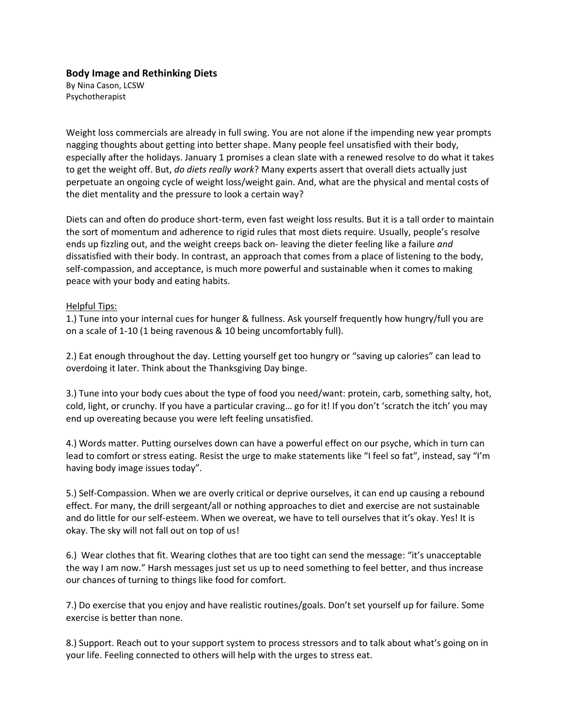## **Body Image and Rethinking Diets**

By Nina Cason, LCSW Psychotherapist

Weight loss commercials are already in full swing. You are not alone if the impending new year prompts nagging thoughts about getting into better shape. Many people feel unsatisfied with their body, especially after the holidays. January 1 promises a clean slate with a renewed resolve to do what it takes to get the weight off. But, *do diets really work*? Many experts assert that overall diets actually just perpetuate an ongoing cycle of weight loss/weight gain. And, what are the physical and mental costs of the diet mentality and the pressure to look a certain way?

Diets can and often do produce short-term, even fast weight loss results. But it is a tall order to maintain the sort of momentum and adherence to rigid rules that most diets require. Usually, people's resolve ends up fizzling out, and the weight creeps back on- leaving the dieter feeling like a failure *and* dissatisfied with their body. In contrast, an approach that comes from a place of listening to the body, self-compassion, and acceptance, is much more powerful and sustainable when it comes to making peace with your body and eating habits.

## Helpful Tips:

1.) Tune into your internal cues for hunger & fullness. Ask yourself frequently how hungry/full you are on a scale of 1-10 (1 being ravenous & 10 being uncomfortably full).

2.) Eat enough throughout the day. Letting yourself get too hungry or "saving up calories" can lead to overdoing it later. Think about the Thanksgiving Day binge.

3.) Tune into your body cues about the type of food you need/want: protein, carb, something salty, hot, cold, light, or crunchy. If you have a particular craving… go for it! If you don't 'scratch the itch' you may end up overeating because you were left feeling unsatisfied.

4.) Words matter. Putting ourselves down can have a powerful effect on our psyche, which in turn can lead to comfort or stress eating. Resist the urge to make statements like "I feel so fat", instead, say "I'm having body image issues today".

5.) Self-Compassion. When we are overly critical or deprive ourselves, it can end up causing a rebound effect. For many, the drill sergeant/all or nothing approaches to diet and exercise are not sustainable and do little for our self-esteem. When we overeat, we have to tell ourselves that it's okay. Yes! It is okay. The sky will not fall out on top of us!

6.) Wear clothes that fit. Wearing clothes that are too tight can send the message: "it's unacceptable the way I am now." Harsh messages just set us up to need something to feel better, and thus increase our chances of turning to things like food for comfort.

7.) Do exercise that you enjoy and have realistic routines/goals. Don't set yourself up for failure. Some exercise is better than none.

8.) Support. Reach out to your support system to process stressors and to talk about what's going on in your life. Feeling connected to others will help with the urges to stress eat.